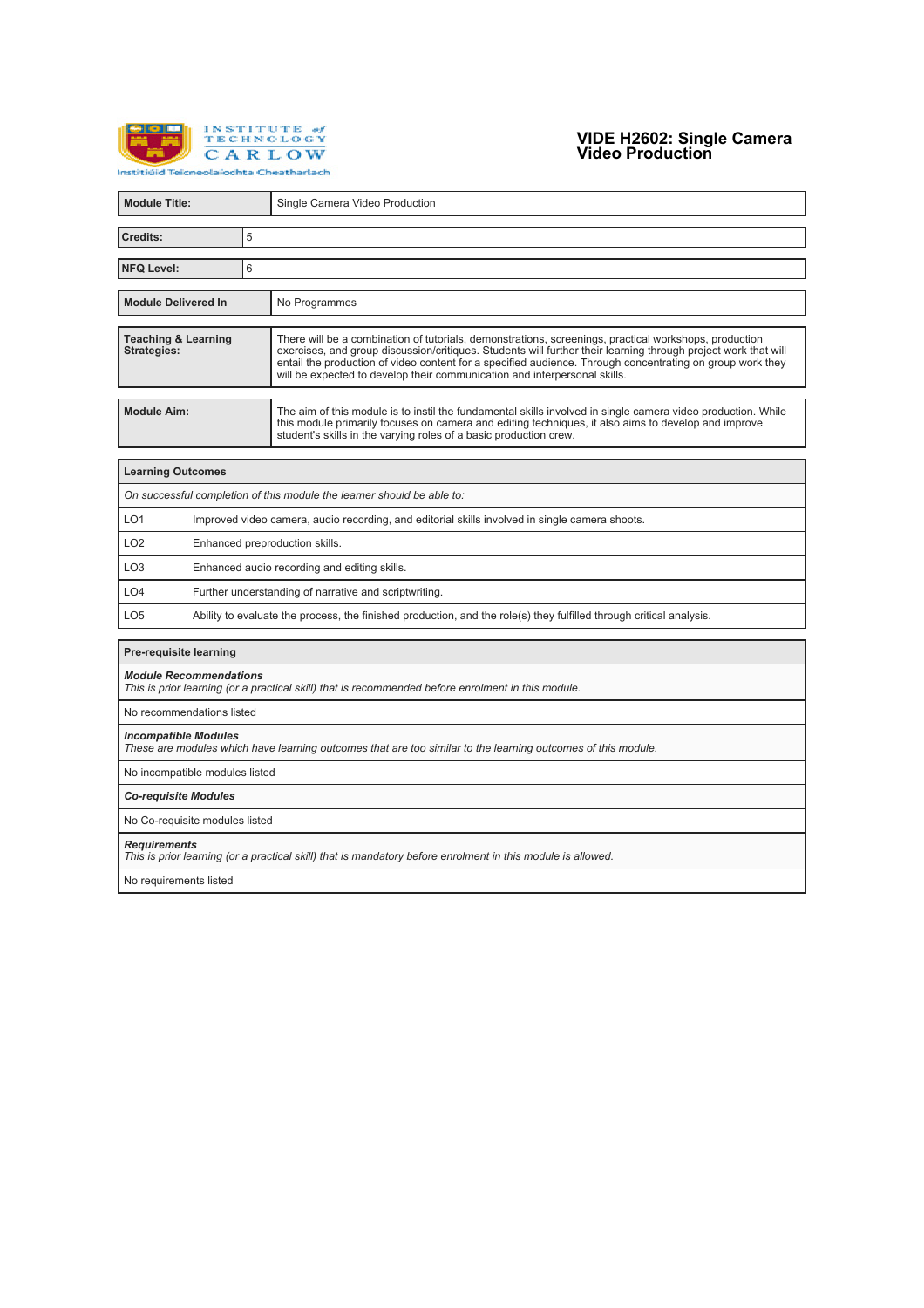

## **VIDE H2602: Single Camera Video Production**

| <b>Module Title:</b>                                                                                                                        |                                                                                                                     |   |                                                                                                                                                                                                                                                                                                                                                                                                                   |  |  |
|---------------------------------------------------------------------------------------------------------------------------------------------|---------------------------------------------------------------------------------------------------------------------|---|-------------------------------------------------------------------------------------------------------------------------------------------------------------------------------------------------------------------------------------------------------------------------------------------------------------------------------------------------------------------------------------------------------------------|--|--|
|                                                                                                                                             |                                                                                                                     |   | Single Camera Video Production                                                                                                                                                                                                                                                                                                                                                                                    |  |  |
| 5<br>Credits:                                                                                                                               |                                                                                                                     |   |                                                                                                                                                                                                                                                                                                                                                                                                                   |  |  |
| <b>NFQ Level:</b>                                                                                                                           |                                                                                                                     | 6 |                                                                                                                                                                                                                                                                                                                                                                                                                   |  |  |
|                                                                                                                                             |                                                                                                                     |   |                                                                                                                                                                                                                                                                                                                                                                                                                   |  |  |
| <b>Module Delivered In</b>                                                                                                                  |                                                                                                                     |   | No Programmes                                                                                                                                                                                                                                                                                                                                                                                                     |  |  |
| <b>Teaching &amp; Learning</b><br><b>Strategies:</b>                                                                                        |                                                                                                                     |   | There will be a combination of tutorials, demonstrations, screenings, practical workshops, production<br>exercises, and group discussion/critiques. Students will further their learning through project work that will<br>entail the production of video content for a specified audience. Through concentrating on group work they<br>will be expected to develop their communication and interpersonal skills. |  |  |
| <b>Module Aim:</b>                                                                                                                          |                                                                                                                     |   | The aim of this module is to instil the fundamental skills involved in single camera video production. While<br>this module primarily focuses on camera and editing techniques, it also aims to develop and improve<br>student's skills in the varying roles of a basic production crew.                                                                                                                          |  |  |
| <b>Learning Outcomes</b>                                                                                                                    |                                                                                                                     |   |                                                                                                                                                                                                                                                                                                                                                                                                                   |  |  |
|                                                                                                                                             |                                                                                                                     |   | On successful completion of this module the learner should be able to:                                                                                                                                                                                                                                                                                                                                            |  |  |
| LO <sub>1</sub>                                                                                                                             | Improved video camera, audio recording, and editorial skills involved in single camera shoots.                      |   |                                                                                                                                                                                                                                                                                                                                                                                                                   |  |  |
| LO <sub>2</sub>                                                                                                                             | Enhanced preproduction skills.                                                                                      |   |                                                                                                                                                                                                                                                                                                                                                                                                                   |  |  |
| LO <sub>3</sub>                                                                                                                             | Enhanced audio recording and editing skills.                                                                        |   |                                                                                                                                                                                                                                                                                                                                                                                                                   |  |  |
| LO <sub>4</sub>                                                                                                                             | Further understanding of narrative and scriptwriting.                                                               |   |                                                                                                                                                                                                                                                                                                                                                                                                                   |  |  |
| LO <sub>5</sub>                                                                                                                             | Ability to evaluate the process, the finished production, and the role(s) they fulfilled through critical analysis. |   |                                                                                                                                                                                                                                                                                                                                                                                                                   |  |  |
| <b>Pre-requisite learning</b>                                                                                                               |                                                                                                                     |   |                                                                                                                                                                                                                                                                                                                                                                                                                   |  |  |
| <b>Module Recommendations</b>                                                                                                               |                                                                                                                     |   | This is prior learning (or a practical skill) that is recommended before enrolment in this module.                                                                                                                                                                                                                                                                                                                |  |  |
| No recommendations listed                                                                                                                   |                                                                                                                     |   |                                                                                                                                                                                                                                                                                                                                                                                                                   |  |  |
| <b>Incompatible Modules</b><br>These are modules which have learning outcomes that are too similar to the learning outcomes of this module. |                                                                                                                     |   |                                                                                                                                                                                                                                                                                                                                                                                                                   |  |  |
| No incompatible modules listed                                                                                                              |                                                                                                                     |   |                                                                                                                                                                                                                                                                                                                                                                                                                   |  |  |
| <b>Co-requisite Modules</b>                                                                                                                 |                                                                                                                     |   |                                                                                                                                                                                                                                                                                                                                                                                                                   |  |  |
| No Co-requisite modules listed                                                                                                              |                                                                                                                     |   |                                                                                                                                                                                                                                                                                                                                                                                                                   |  |  |
| <b>Requirements</b><br>This is prior learning (or a practical skill) that is mandatory before enrolment in this module is allowed.          |                                                                                                                     |   |                                                                                                                                                                                                                                                                                                                                                                                                                   |  |  |
| No requirements listed                                                                                                                      |                                                                                                                     |   |                                                                                                                                                                                                                                                                                                                                                                                                                   |  |  |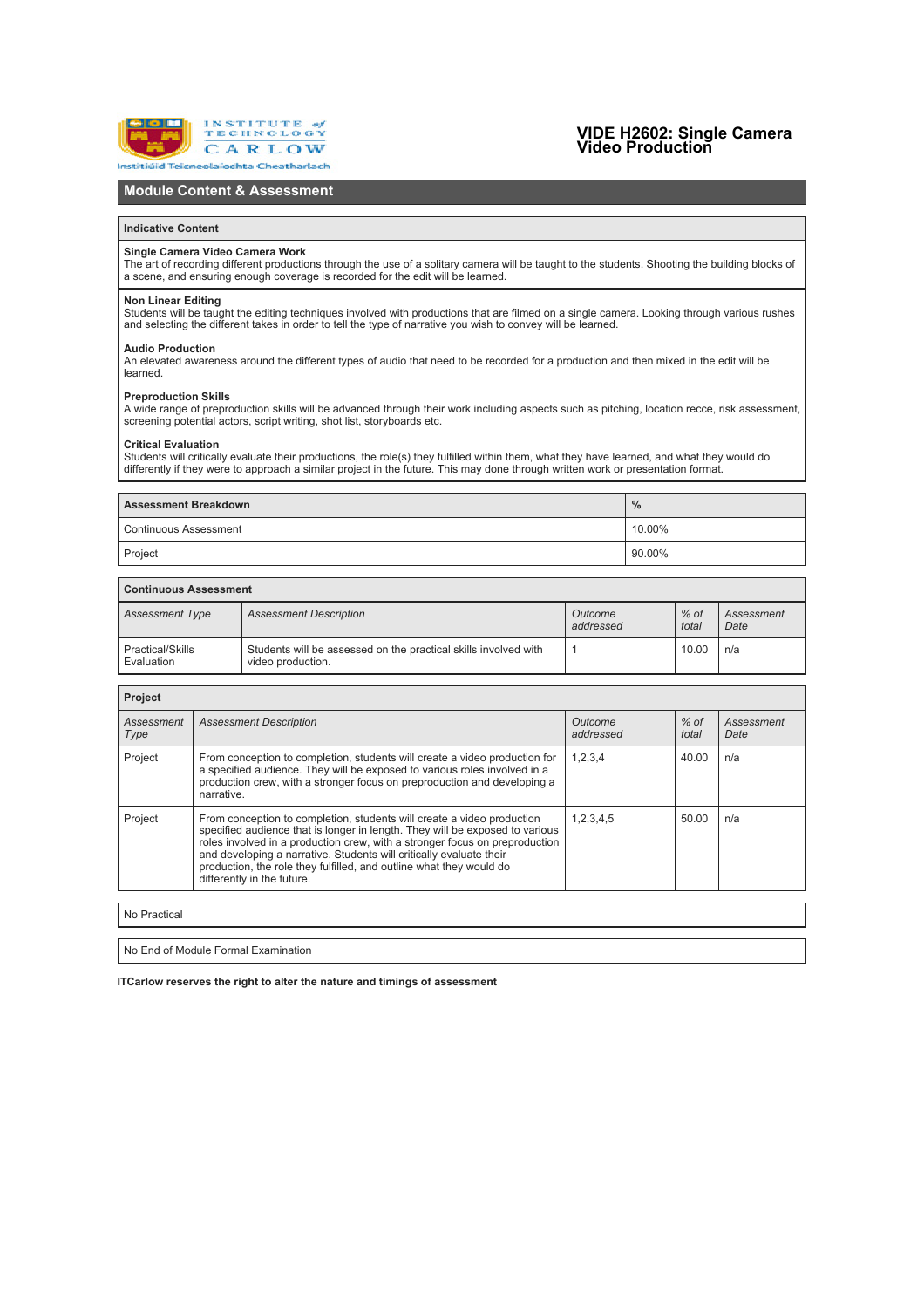

## **VIDE H2602: Single Camera Video Production**

### **Module Content & Assessment**

#### **Indicative Content**

#### **Single Camera Video Camera Work**

The art of recording different productions through the use of a solitary camera will be taught to the students. Shooting the building blocks of a scene, and ensuring enough coverage is recorded for the edit will be learned.

#### **Non Linear Editing**

Students will be taught the editing techniques involved with productions that are filmed on a single camera. Looking through various rushes<br>and selecting the different takes in order to tell the type of narrative vou wish

#### **Audio Production**

An elevated awareness around the different types of audio that need to be recorded for a production and then mixed in the edit will be learned.

#### **Preproduction Skills**

A wide range of preproduction skills will be advanced through their work including aspects such as pitching, location recce, risk assessment, screening potential actors, script writing, shot list, storyboards etc.

#### **Critical Evaluation**

Students will critically evaluate their productions, the role(s) they fulfilled within them, what they have learned, and what they would do<br>differently if they were to approach a similar project in the future. This may don

| <b>Assessment Breakdown</b>  | $\%$       |  |
|------------------------------|------------|--|
| <b>Continuous Assessment</b> | $'10.00\%$ |  |
| Project                      | 90.00%     |  |

### **Continuous Assessment**

| <b>Assessment Type</b>         | <b>Assessment Description</b>                                                        | Outcome<br>addressed | $%$ of<br>total | Assessment<br>Date |
|--------------------------------|--------------------------------------------------------------------------------------|----------------------|-----------------|--------------------|
| Practical/Skills<br>Evaluation | Students will be assessed on the practical skills involved with<br>video production. |                      | 10.00           | n/a                |

| <b>Project</b>     |                                                                                                                                                                                                                                                                                                                                                                                                                   |                      |                 |                    |  |  |
|--------------------|-------------------------------------------------------------------------------------------------------------------------------------------------------------------------------------------------------------------------------------------------------------------------------------------------------------------------------------------------------------------------------------------------------------------|----------------------|-----------------|--------------------|--|--|
| Assessment<br>Type | <b>Assessment Description</b>                                                                                                                                                                                                                                                                                                                                                                                     | Outcome<br>addressed | $%$ of<br>total | Assessment<br>Date |  |  |
| Project            | From conception to completion, students will create a video production for<br>a specified audience. They will be exposed to various roles involved in a<br>production crew, with a stronger focus on preproduction and developing a<br>narrative.                                                                                                                                                                 | 1,2,3,4              | 40.00           | n/a                |  |  |
| Project            | From conception to completion, students will create a video production<br>specified audience that is longer in length. They will be exposed to various<br>roles involved in a production crew, with a stronger focus on preproduction<br>and developing a narrative. Students will critically evaluate their<br>production, the role they fulfilled, and outline what they would do<br>differently in the future. | 1,2,3,4,5            | 50.00           | n/a                |  |  |
|                    |                                                                                                                                                                                                                                                                                                                                                                                                                   |                      |                 |                    |  |  |
| No Practical       |                                                                                                                                                                                                                                                                                                                                                                                                                   |                      |                 |                    |  |  |
|                    |                                                                                                                                                                                                                                                                                                                                                                                                                   |                      |                 |                    |  |  |

No End of Module Formal Examination

**ITCarlow reserves the right to alter the nature and timings of assessment**